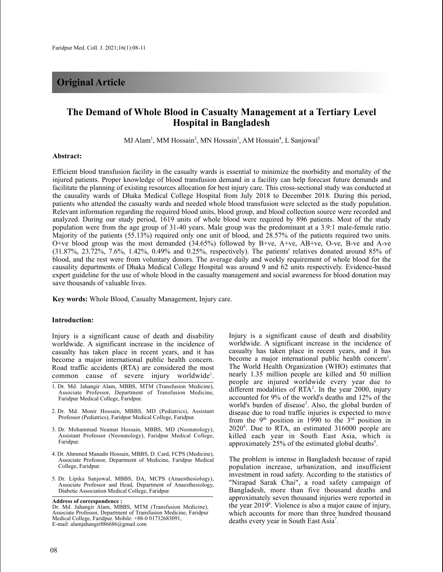# **Original Article**

# **The Demand of Whole Blood in Casualty Management at a Tertiary Level Hospital in Bangladesh**

MJ Alam<sup>1</sup>, MM Hossain<sup>2</sup>, MN Hossain<sup>3</sup>, AM Hossain<sup>4</sup>, L Sanjowal<sup>5</sup>

#### **Abstract:**

Efficient blood transfusion facility in the casualty wards is essential to minimize the morbidity and mortality of the injured patients. Proper knowledge of blood transfusion demand in a facility can help forecast future demands and facilitate the planning of existing resources allocation for best injury care. This cross-sectional study was conducted at the causality wards of Dhaka Medical College Hospital from July 2018 to December 2018. During this period, patients who attended the casualty wards and needed whole blood transfusion were selected as the study population. Relevant information regarding the required blood units, blood group, and blood collection source were recorded and analyzed. During our study period, 1619 units of whole blood were required by 896 patients. Most of the study population were from the age group of 31-40 years. Male group was the predominant at a 3.9:1 male-female ratio. Majority of the patients (55.13%) required only one unit of blood, and 28.57% of the patients required two units. O+ve blood group was the most demanded (34.65%) followed by B+ve, A+ve, AB+ve, O-ve, B-ve and A-ve (31.87%, 23.72%, 7.6%, 1.42%, 0.49% and 0.25%, respectively). The patients' relatives donated around 85% of blood, and the rest were from voluntary donors. The average daily and weekly requirement of whole blood for the causality departments of Dhaka Medical College Hospital was around 9 and 62 units respectively. Evidence-based expert guideline for the use of whole blood in the casualty management and social awareness for blood donation may save thousands of valuable lives.

**Key words:** Whole Blood, Casualty Management, Injury care.

#### **Introduction:**

Injury is a significant cause of death and disability worldwide. A significant increase in the incidence of casualty has taken place in recent years, and it has become a major international public health concern. Road traffic accidents (RTA) are considered the most common cause of severe injury worldwide<sup>1</sup>.

- 1. Dr. Md. Jahangir Alam, MBBS, MTM (Transfusion Medicine), Associate Professor, Department of Transfusion Medicine, Faridpur Medical College, Faridpur.
- 2. Dr. Md. Monir Hossain, MBBS, MD (Pediatrics), Assistant Professor (Pediatrics), Faridpur Medical College, Faridpur.
- 3. Dr. Mohammad Neamat Hossain, MBBS, MD (Neonatology), Assistant Professor (Neonatology), Faridpur Medical College, Faridpur.
- 4. Dr. Ahmmed Manadir Hossain, MBBS, D. Card, FCPS (Medicine), Associate Professor, Department of Medicine, Faridpur Medical College, Faridpur.
- 5. Dr. Lipika Sanjowal, MBBS, DA, MCPS (Anaesthesiology), Associate Professor and Head, Department of Anaesthesiology, Diabetic Association Medical College, Faridpur.

**Address of correspondence :**

Dr. Md. Jahangir Alam, MBBS, MTM (Transfusion Medicine), Associate Professor, Department of Transfusion Medicine, Faridpur Medical College, Faridpur. Mobile: +88-0 01732683091, E-mail: alamjahangir886686@gmail.com

Injury is a significant cause of death and disability worldwide. A significant increase in the incidence of casualty has taken place in recent years, and it has become a major international public health concern<sup>1</sup>. The World Health Organization (WHO) estimates that nearly 1.35 million people are killed and 50 million people are injured worldwide every year due to different modalities of RTA<sup>2</sup>. In the year 2000, injury accounted for 9% of the world's deaths and 12% of the world's burden of disease<sup>3</sup>. Also, the global burden of disease due to road traffic injuries is expected to move from the 9<sup>th</sup> position in 1990 to the  $3<sup>rd</sup>$  position in 20204 . Due to RTA, an estimated 316000 people are killed each year in South East Asia, which is approximately 25% of the estimated global deaths<sup>5</sup>.

The problem is intense in Bangladesh because of rapid population increase, urbanization, and insufficient investment in road safety. According to the statistics of "Nirapad Sarak Chai", a road safety campaign of Bangladesh, more than five thousand deaths and approximately seven thousand injuries were reported in the year 20196 . Violence is also a major cause of injury, which accounts for more than three hundred thousand deaths every year in South East Asia<sup>7</sup>.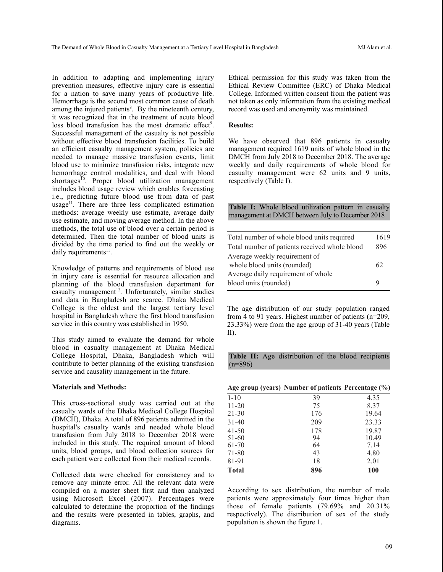In addition to adapting and implementing injury prevention measures, effective injury care is essential for a nation to save many years of productive life. Hemorrhage is the second most common cause of death among the injured patients<sup>8</sup>. By the nineteenth century, it was recognized that in the treatment of acute blood loss blood transfusion has the most dramatic effect<sup>9</sup>. Successful management of the casualty is not possible without effective blood transfusion facilities. To build an efficient casualty management system, policies are needed to manage massive transfusion events, limit blood use to minimize transfusion risks, integrate new hemorrhage control modalities, and deal with blood shortages<sup>10</sup>. Proper blood utilization management includes blood usage review which enables forecasting i.e., predicting future blood use from data of past usage<sup>11</sup>. There are three less complicated estimation methods: average weekly use estimate, average daily use estimate, and moving average method. In the above methods, the total use of blood over a certain period is determined. Then the total number of blood units is divided by the time period to find out the weekly or daily requirements<sup>11</sup>.

Knowledge of patterns and requirements of blood use in injury care is essential for resource allocation and planning of the blood transfusion department for casualty management 12 . Unfortunately, similar studies and data in Bangladesh are scarce. Dhaka Medical College is the oldest and the largest tertiary level hospital in Bangladesh where the first blood transfusion service in this country was established in 1950.

This study aimed to evaluate the demand for whole blood in casualty management at Dhaka Medical College Hospital, Dhaka, Bangladesh which will contribute to better planning of the existing transfusion service and causality management in the future.

### **Materials and Methods:**

This cross-sectional study was carried out at the casualty wards of the Dhaka Medical College Hospital (DMCH), Dhaka. A total of 896 patients admitted in the hospital's casualty wards and needed whole blood transfusion from July 2018 to December 2018 were included in this study. The required amount of blood units, blood groups, and blood collection sources for each patient were collected from their medical records.

Collected data were checked for consistency and to remove any minute error. All the relevant data were compiled on a master sheet first and then analyzed using Microsoft Excel (2007). Percentages were calculated to determine the proportion of the findings and the results were presented in tables, graphs, and diagrams.

Ethical permission for this study was taken from the Ethical Review Committee (ERC) of Dhaka Medical College. Informed written consent from the patient was not taken as only information from the existing medical record was used and anonymity was maintained.

## **Results:**

We have observed that 896 patients in casualty management required 1619 units of whole blood in the DMCH from July 2018 to December 2018. The average weekly and daily requirements of whole blood for casualty management were 62 units and 9 units, respectively (Table I).

**Table I:** Whole blood utilization pattern in casualty management at DMCH between July to December 2018

| Total number of whole blood units required    | 1619 |
|-----------------------------------------------|------|
| Total number of patients received whole blood | 896  |
| Average weekly requirement of                 |      |
| whole blood units (rounded)                   | 62   |
| Average daily requirement of whole            |      |
| blood units (rounded)                         | Q    |
|                                               |      |

The age distribution of our study population ranged from 4 to 91 years. Highest number of patients (n=209, 23.33%) were from the age group of 31-40 years (Table II).

**Table II:** Age distribution of the blood recipients  $(n=896)$ 

|              | Age group (years) Number of patients Percentage (%) |            |
|--------------|-----------------------------------------------------|------------|
| $1 - 10$     | 39                                                  | 4.35       |
| $11 - 20$    | 75                                                  | 8.37       |
| $21 - 30$    | 176                                                 | 19.64      |
| $31 - 40$    | 209                                                 | 23.33      |
| $41 - 50$    | 178                                                 | 19.87      |
| $51 - 60$    | 94                                                  | 10.49      |
| 61-70        | 64                                                  | 7.14       |
| 71-80        | 43                                                  | 4.80       |
| 81-91        | 18                                                  | 2.01       |
| <b>Total</b> | 896                                                 | <b>100</b> |

According to sex distribution, the number of male patients were approximately four times higher than those of female patients (79.69% and 20.31% respectively). The distribution of sex of the study population is shown the figure 1.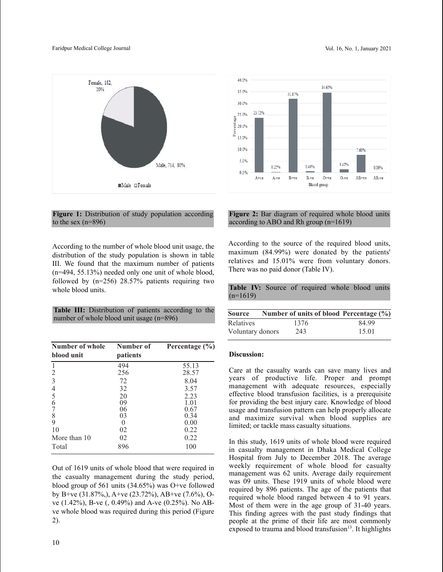

## **Figure 1:** Distribution of study population according to the sex (n=896)

According to the number of whole blood unit usage, the distribution of the study population is shown in table III. We found that the maximum number of patients (n=494, 55.13%) needed only one unit of whole blood, followed by (n=256) 28.57% patients requiring two whole blood units.

**Table III:** Distribution of patients according to the number of whole blood unit usage (n=896)

| Number of whole<br>blood unit | Number of<br>patients | Percentage $(\% )$ |
|-------------------------------|-----------------------|--------------------|
| -1                            | 494                   | 55.13              |
| 2                             | 256                   | 28.57              |
| 3                             | 72                    | 8.04               |
| 4                             | 32                    | 3.57               |
|                               | 20                    | 2.23               |
| $\frac{5}{6}$                 | 09                    | 1.01               |
| 7                             | 06                    | 0.67               |
| 8                             | 03                    | 0.34               |
| 9                             | $\theta$              | 0.00               |
| 10                            | 02                    | 0.22               |
| More than 10                  | 02                    | 0.22               |
| Total                         | 896                   | 100                |

Out of 1619 units of whole blood that were required in the casualty management during the study period, blood group of 561 units (34.65%) was O+ve followed by B+ve (31.87%,), A+ve (23.72%), AB+ve (7.6%), Ove (1.42%), B-ve (, 0.49%) and A-ve (0.25%). No ABve whole blood was required during this period (Figure 2).



## **Figure 2:** Bar diagram of required whole blood units according to ABO and Rh group (n=1619)

According to the source of the required blood units, maximum (84.99%) were donated by the patients' relatives and 15.01% were from voluntary donors. There was no paid donor (Table IV).

**Table IV:** Source of required whole blood units  $(n=1619)$ 

| <b>Source</b>    | Number of units of blood Percentage (%) |       |
|------------------|-----------------------------------------|-------|
| <b>Relatives</b> | 1376                                    | 84.99 |
| Voluntary donors | 243                                     | 15.01 |

## **Discussion:**

Care at the casualty wards can save many lives and years of productive life. Proper and prompt management with adequate resources, especially effective blood transfusion facilities, is a prerequisite for providing the best injury care. Knowledge of blood usage and transfusion pattern can help properly allocate and maximize survival when blood supplies are limited; or tackle mass casualty situations.

In this study, 1619 units of whole blood were required in casualty management in Dhaka Medical College Hospital from July to December 2018. The average weekly requirement of whole blood for casualty management was 62 units. Average daily requirement was 09 units. These 1919 units of whole blood were required by 896 patients. The age of the patients that required whole blood ranged between 4 to 91 years. Most of them were in the age group of 31-40 years. This finding agrees with the past study findings that people at the prime of their life are most commonly exposed to trauma and blood transfusion<sup>13</sup>. It highlights